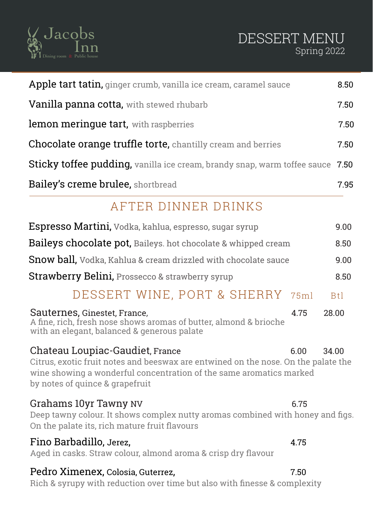

## DESSERT MENU Spring 2022

| Apple tart tatin, ginger crumb, vanilla ice cream, caramel sauce                                                                                                                                                                        |            |  |  |  |  |
|-----------------------------------------------------------------------------------------------------------------------------------------------------------------------------------------------------------------------------------------|------------|--|--|--|--|
| Vanilla panna cotta, with stewed rhubarb                                                                                                                                                                                                | 7.50       |  |  |  |  |
| lemon merinque tart, with raspberries                                                                                                                                                                                                   | 7.50       |  |  |  |  |
| <b>Chocolate orange truffle torte, chantilly cream and berries</b>                                                                                                                                                                      |            |  |  |  |  |
| Sticky toffee pudding, vanilla ice cream, brandy snap, warm toffee sauce                                                                                                                                                                | 7.50       |  |  |  |  |
| <b>Bailey's creme brulee, shortbread</b>                                                                                                                                                                                                | 7.95       |  |  |  |  |
| AFTER DINNER DRINKS                                                                                                                                                                                                                     |            |  |  |  |  |
| Espresso Martini, Vodka, kahlua, espresso, sugar syrup                                                                                                                                                                                  | 9.00       |  |  |  |  |
| <b>Baileys chocolate pot,</b> Baileys. hot chocolate & whipped cream                                                                                                                                                                    | 8.50       |  |  |  |  |
| Snow ball, Vodka, Kahlua & cream drizzled with chocolate sauce                                                                                                                                                                          | 9.00       |  |  |  |  |
| Strawberry Belini, Prossecco & strawberry syrup                                                                                                                                                                                         | 8.50       |  |  |  |  |
| DESSERT WINE, PORT & SHERRY<br>75ml                                                                                                                                                                                                     | <b>Btl</b> |  |  |  |  |
| Sauternes, Ginestet, France,<br>4.75<br>A fine, rich, fresh nose shows aromas of butter, almond & brioche<br>with an elegant, balanced & generous palate                                                                                | 28.00      |  |  |  |  |
| Chateau Loupiac-Gaudiet, France<br>6.00<br>Citrus, exotic fruit notes and beeswax are entwined on the nose. On the palate the<br>wine showing a wonderful concentration of the same aromatics marked<br>by notes of quince & grapefruit | 34.00      |  |  |  |  |
| Grahams 10yr Tawny NV<br>6.75<br>Deep tawny colour. It shows complex nutty aromas combined with honey and figs.<br>On the palate its, rich mature fruit flavours                                                                        |            |  |  |  |  |
| Fino Barbadillo, Jerez,<br>4.75<br>Aged in casks. Straw colour, almond aroma & crisp dry flavour                                                                                                                                        |            |  |  |  |  |
| Pedro Ximenex, Colosia, Guterrez,<br>7.50                                                                                                                                                                                               |            |  |  |  |  |

Rich & syrupy with reduction over time but also with finesse & complexity